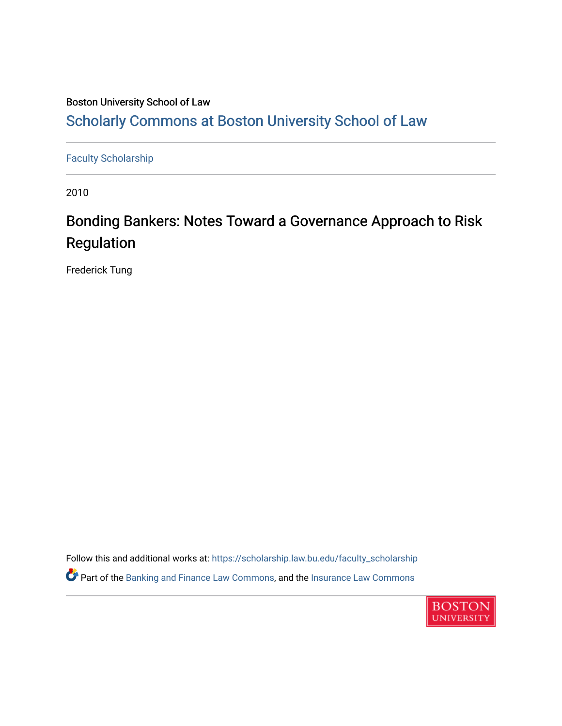# Boston University School of Law [Scholarly Commons at Boston University School of Law](https://scholarship.law.bu.edu/)

[Faculty Scholarship](https://scholarship.law.bu.edu/faculty_scholarship)

2010

# Bonding Bankers: Notes Toward a Governance Approach to Risk Regulation

Frederick Tung

Follow this and additional works at: [https://scholarship.law.bu.edu/faculty\\_scholarship](https://scholarship.law.bu.edu/faculty_scholarship?utm_source=scholarship.law.bu.edu%2Ffaculty_scholarship%2F1638&utm_medium=PDF&utm_campaign=PDFCoverPages) Part of the [Banking and Finance Law Commons,](http://network.bepress.com/hgg/discipline/833?utm_source=scholarship.law.bu.edu%2Ffaculty_scholarship%2F1638&utm_medium=PDF&utm_campaign=PDFCoverPages) and the [Insurance Law Commons](http://network.bepress.com/hgg/discipline/607?utm_source=scholarship.law.bu.edu%2Ffaculty_scholarship%2F1638&utm_medium=PDF&utm_campaign=PDFCoverPages) 

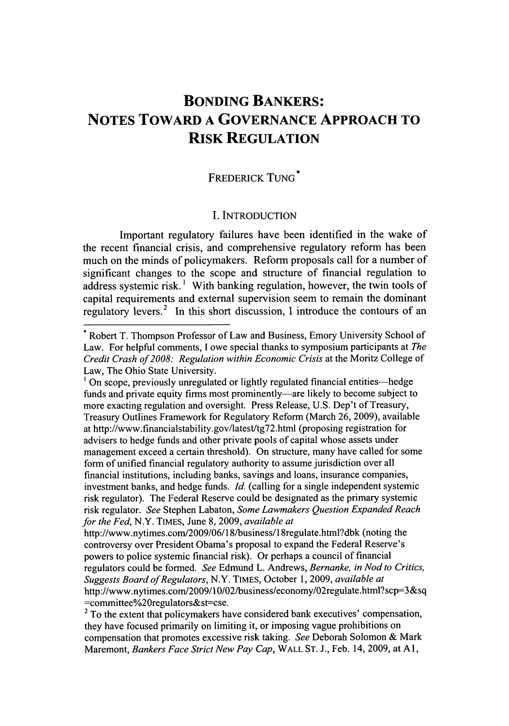# **BONDING BANKERS: NOTES TOWARD A GOVERNANCE APPROACH TO RISK REGULATION**

#### FREDERICK TUNG<sup>\*</sup>

#### I. INTRODUCTION

Important regulatory failures have been identified in the wake of the recent financial crisis, and comprehensive regulatory reform has been much on the minds of policymakers. Reform proposals call for a number of significant changes to the scope and structure of financial regulation to address systemic risk. **1** With banking regulation, however, the twin tools of capital requirements and external supervision seem to remain the dominant regulatory levers.<sup>2</sup> In this short discussion, I introduce the contours of an

<sup>\*</sup> Robert T. Thompson Professor of Law and Business, Emory University School of Law. For helpful comments, I owe special thanks to symposium participants at *The Credit Crash of 2008: Regulation within Economic Crisis* at the Moritz College of Law, The Ohio State University.

<sup>&</sup>lt;sup>1</sup> On scope, previously unregulated or lightly regulated financial entities—hedge funds and private equity firms most prominently—are likely to become subject to more exacting regulation and oversight. Press Release, U.S. Dep't of Treasury, Treasury Outlines Framework for Regulatory Reform (March 26, 2009), available at http://www.financialstability.gov/latest/tg72.html (proposing registration for advisers to hedge funds and other private pools of capital whose assets under management exceed a certain threshold). On structure, many have called for some form of unified financial regulatory authority to assume jurisdiction over all financial institutions, including banks, savings and loans, insurance companies, investment banks, and hedge funds. *Id.* (calling for a single independent systemic risk regulator). The Federal Reserve could be designated as the primary systemic risk regulator. *See* Stephen Labaton, *Some Lawmakers Question Expanded Reach for the Fed,* N.Y. TIMES, June 8, 2009, *available at*

http://www.nytimes.com/2009/06/18/business/l 8regulate.html?dbk (noting the controversy over President Obama's proposal to expand the Federal Reserve's powers to police systemic financial risk). Or perhaps a council of financial regulators could be formed. *See* Edmund L. Andrews, *Bernanke, in Nod to Critics, Suggests Board of Regulators,* N.Y. TIMES, October 1, 2009, *available at* http://www.nytimes.com/2009/10/02/business/economy/02regulate.html?scp=3&sq =committee%20regulators&st=cse.

<sup>&</sup>lt;sup>2</sup> To the extent that policymakers have considered bank executives' compensation, they have focused primarily on limiting it, or imposing vague prohibitions on compensation that promotes excessive risk taking. *See* Deborah Solomon & Mark Maremont, *Bankers Face Strict New Pay Cap,* WALL ST. J., Feb. 14, 2009, at Al,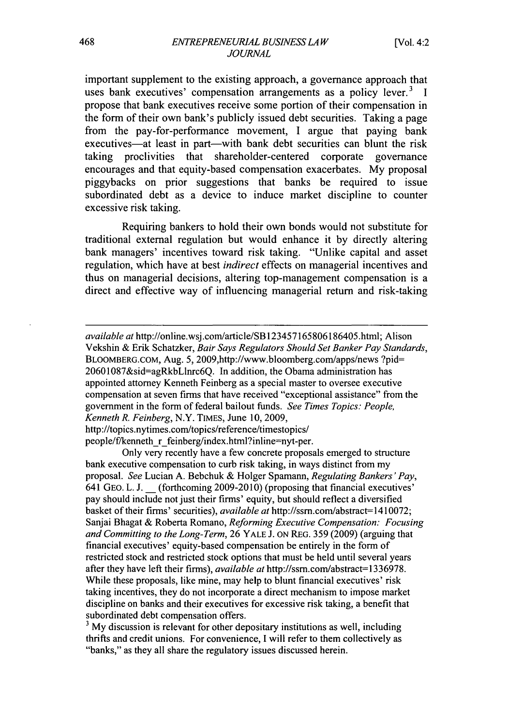important supplement to the existing approach, a governance approach that uses bank executives' compensation arrangements as a policy lever. $3\text{ I}$ propose that bank executives receive some portion of their compensation in the form of their own bank's publicly issued debt securities. Taking a page from the pay-for-performance movement, I argue that paying bank executives-at least in part-with bank debt securities can blunt the risk taking proclivities that shareholder-centered corporate governance encourages and that equity-based compensation exacerbates. My proposal piggybacks on prior suggestions that banks be required to issue subordinated debt as a device to induce market discipline to counter excessive risk taking.

Requiring bankers to hold their own bonds would not substitute for traditional external regulation but would enhance it by directly altering bank managers' incentives toward risk taking. "Unlike capital and asset regulation, which have at best *indirect* effects on managerial incentives and thus on managerial decisions, altering top-management compensation is a direct and effective way of influencing managerial return and risk-taking

*available at* http://online.wsj.com/article/SB 123457165806186405.html; Alison Vekshin & Erik Schatzker, *Bair Says Regulators Should Set Banker Pay Standards,* BLOOMBERG.COM, Aug. 5, 2009,http://www.bloomberg.com/apps/news ?pid= 20601087&sid=agRkbLlnrc6Q. In addition, the Obama administration has appointed attorney Kenneth Feinberg as a special master to oversee executive compensation at seven firms that have received "exceptional assistance" from the government in the form of federal bailout funds. *See Times Topics: People, Kenneth R. Feinberg,* N.Y. TIMES, June 10, 2009, http://topics.nytimes.com/topics/reference/timestopics/

people/f/kenneth r feinberg/index.html?inline=nyt-per.

Only very recently have a few concrete proposals emerged to structure bank executive compensation to curb risk taking, in ways distinct from my proposal. *See* Lucian A. Bebchuk & Holger Spamann, *Regulating Bankers'Pay,* 641 GEO. L. J. **\_** (forthcoming 2009-20 10) (proposing that financial executives' pay should include not just their firms' equity, but should reflect a diversified basket of their firms' securities), *available at* http://ssm.com/abstract=1410072; Sanjai Bhagat & Roberta Romano, *Reforming Executive Compensation: Focusing and Committing to the Long-Term,* 26 YALE J. **ON** REG. 359 (2009) (arguing that financial executives' equity-based compensation be entirely in the form of restricted stock and restricted stock options that must be held until several years after they have left their firms), *available at* http://ssm.com/abstract=1336978. While these proposals, like mine, may help to blunt financial executives' risk taking incentives, they do not incorporate a direct mechanism to impose market discipline on banks and their executives for excessive risk taking, a benefit that subordinated debt compensation offers.

<sup>3</sup> My discussion is relevant for other depositary institutions as well, including thrifts and credit unions. For convenience, I will refer to them collectively as "banks," as they all share the regulatory issues discussed herein.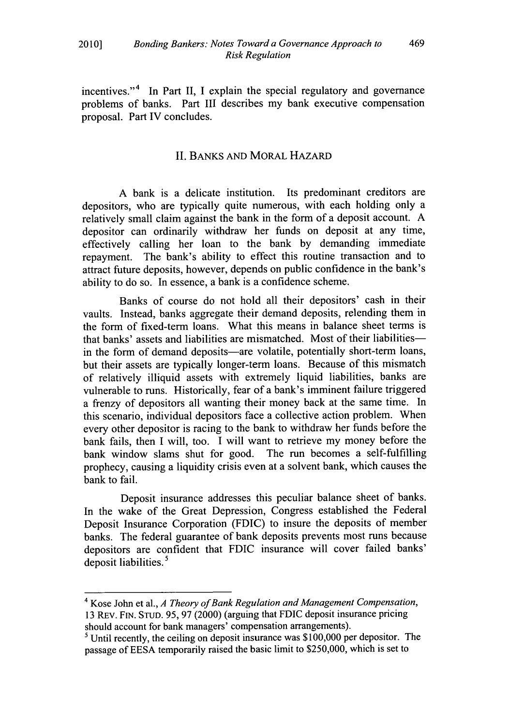incentives."<sup>4</sup> In Part II, I explain the special regulatory and governance problems of banks. Part III describes my bank executive compensation proposal. Part IV concludes.

#### II. BANKS AND MORAL HAZARD

A bank is a delicate institution. Its predominant creditors are depositors, who are typically quite numerous, with each holding only a relatively small claim against the bank in the form of a deposit account. A depositor can ordinarily withdraw her funds on deposit at any time, effectively calling her loan to the bank by demanding immediate repayment. The bank's ability to effect this routine transaction and to attract future deposits, however, depends on public confidence in the bank's ability to do so. In essence, a bank is a confidence scheme.

Banks of course do not hold all their depositors' cash in their vaults. Instead, banks aggregate their demand deposits, relending them in the form of fixed-term loans. What this means in balance sheet terms is that banks' assets and liabilities are mismatched. Most of their liabilitiesin the form of demand deposits—are volatile, potentially short-term loans, but their assets are typically longer-term loans. Because of this mismatch of relatively illiquid assets with extremely liquid liabilities, banks are vulnerable to runs. Historically, fear of a bank's imminent failure triggered a frenzy of depositors all wanting their money back at the same time. In this scenario, individual depositors face a collective action problem. When every other depositor is racing to the bank to withdraw her funds before the bank fails, then I will, too. I will want to retrieve my money before the bank window slams shut for good. The run becomes a self-fulfilling prophecy, causing a liquidity crisis even at a solvent bank, which causes the bank to fail.

Deposit insurance addresses this peculiar balance sheet of banks. In the wake of the Great Depression, Congress established the Federal Deposit Insurance Corporation (FDIC) to insure the deposits of member banks. The federal guarantee of bank deposits prevents most runs because depositors are confident that FDIC insurance will cover failed banks' deposit liabilities.<sup>5</sup>

<sup>4</sup> Kose John et al., *A Theory of Bank Regulation and Management Compensation,* 13 REv. FIN. STUD. *95,* 97 (2000) (arguing that FDIC deposit insurance pricing should account for bank managers' compensation arrangements).

**<sup>5</sup>** Until recently, the ceiling on deposit insurance was **\$100,000** per depositor. The passage of EESA temporarily raised the basic limit to **\$250,000,** which is set to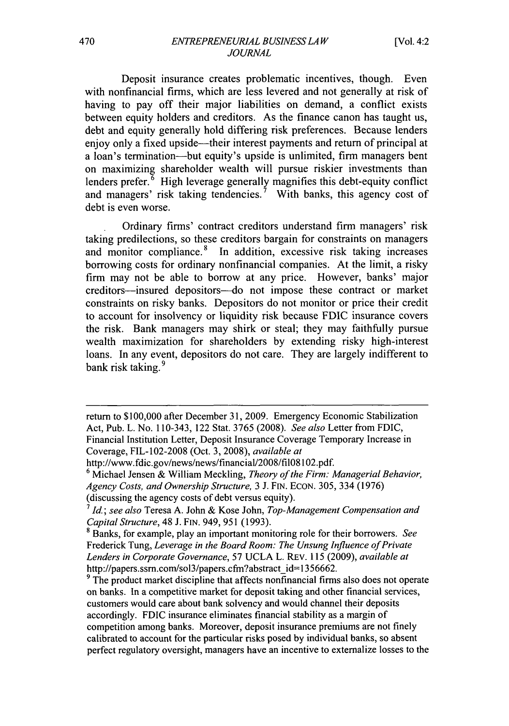Deposit insurance creates problematic incentives, though. Even with nonfinancial firms, which are less levered and not generally at risk of having to pay off their major liabilities on demand, a conflict exists between equity holders and creditors. As the finance canon has taught us, debt and equity generally hold differing risk preferences. Because lenders enjoy only a fixed upside—their interest payments and return of principal at a loan's termination-but equity's upside is unlimited, firm managers bent on maximizing shareholder wealth will pursue riskier investments than lenders prefer.<sup>6</sup> High leverage generally magnifies this debt-equity conflict and managers' risk taking tendencies.<sup>7</sup> With banks, this agency cost of debt is even worse.

Ordinary firms' contract creditors understand firm managers' risk taking predilections, so these creditors bargain for constraints on managers and monitor compliance.<sup>8</sup> In addition, excessive risk taking increases borrowing costs for ordinary nonfinancial companies. At the limit, a risky firm may not be able to borrow at any price. However, banks' major creditors-insured depositors--do not impose these contract or market constraints on risky banks. Depositors do not monitor or price their credit to account for insolvency or liquidity risk because FDIC insurance covers the risk. Bank managers may shirk or steal; they may faithfully pursue wealth maximization for shareholders by extending risky high-interest loans. In any event, depositors do not care. They are largely indifferent to bank risk taking. **9**

return to \$100,000 after December 31, 2009. Emergency Economic Stabilization Act, Pub. L. No. 110-343, 122 Stat. 3765 (2008). *See also* Letter from FDIC, Financial Institution Letter, Deposit Insurance Coverage Temporary Increase in Coverage, FIL-102-2008 (Oct. 3, 2008), *available at*

http://www.fdic.gov/news/news/financial/2008/fil08102.pdf.

**<sup>6</sup>** Michael Jensen & William Meckling, *Theory of the Firm: Managerial Behavior, Agency Costs, and Ownership Structure,* 3 J. FIN. ECON. 305, 334 (1976) (discussing the agency costs of debt versus equity).

*<sup>7</sup> 1d; see also* Teresa A. John & Kose John, *Top-Management Compensation and Capital Structure,* 48 J. **FIN.** 949, 951 (1993). **<sup>8</sup>**Banks, for example, play an important monitoring role for their borrowers. *See*

Frederick Tung, *Leverage in the Board Room: The Unsung Influence of Private Lenders in Corporate Governance,* 57 UCLA L. REV. 115 (2009), *available at* http://papers.ssrn.com/sol3/papers.cfm?abstract\_id=1356662.

<sup>&</sup>lt;sup>9</sup> The product market discipline that affects nonfinancial firms also does not operate on banks. In a competitive market for deposit taking and other financial services, customers would care about bank solvency and would channel their deposits accordingly. FDIC insurance eliminates financial stability as a margin of competition among banks. Moreover, deposit insurance premiums are not finely calibrated to account for the particular risks posed by individual banks, so absent perfect regulatory oversight, managers have an incentive to externalize losses to the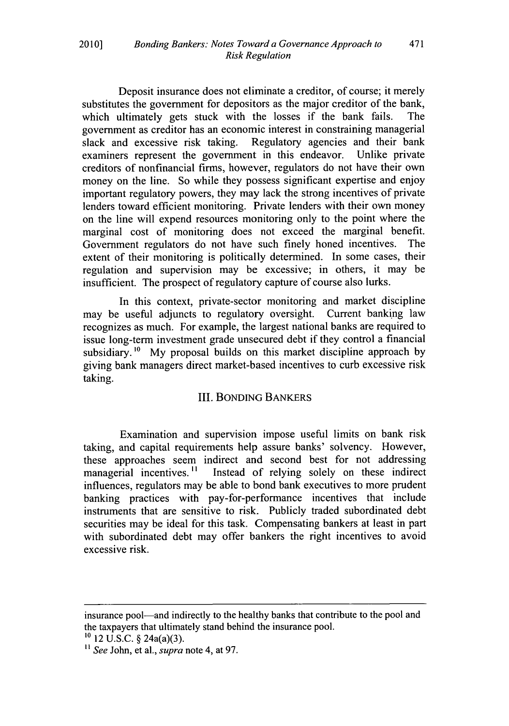Deposit insurance does not eliminate a creditor, of course; it merely substitutes the government for depositors as the major creditor of the bank, which ultimately gets stuck with the losses if the bank fails. The government as creditor has an economic interest in constraining managerial slack and excessive risk taking. Regulatory agencies and their bank examiners represent the government in this endeavor. Unlike private examiners represent the government in this endeavor. creditors of nonfinancial firms, however, regulators do not have their own money on the line. So while they possess significant expertise and enjoy important regulatory powers, they may lack the strong incentives of private lenders toward efficient monitoring. Private lenders with their own money on the line will expend resources monitoring only to the point where the marginal cost of monitoring does not exceed the marginal benefit. Government regulators do not have such finely honed incentives. The extent of their monitoring is politically determined. In some cases, their regulation and supervision may be excessive; in others, it may be insufficient. The prospect of regulatory capture of course also lurks.

In this context, private-sector monitoring and market discipline may be useful adjuncts to regulatory oversight. Current banking law recognizes as much. For example, the largest national banks are required to issue long-term investment grade unsecured debt if they control a financial subsidiary.<sup>10</sup> My proposal builds on this market discipline approach by giving bank managers direct market-based incentives to curb excessive risk taking.

# III. BOND1NG BANKERS

Examination and supervision impose useful limits on bank risk taking, and capital requirements help assure banks' solvency. However, these approaches seem indirect and second best for not addressing managerial incentives.<sup>11</sup> Instead of relying solely on these indirect influences, regulators may be able to bond bank executives to more prudent banking practices with pay-for-performance incentives that include instruments that are sensitive to risk. Publicly traded subordinated debt securities may be ideal for this task. Compensating bankers at least in part with subordinated debt may offer bankers the right incentives to avoid excessive risk.

insurance pool-and indirectly to the healthy banks that contribute to the pool and the taxpayers that ultimately stand behind the insurance pool. **'0** 12 U.S.C. § 24a(a)(3).

**<sup>1</sup>** *"See* John, et al., *supra* note 4, at 97.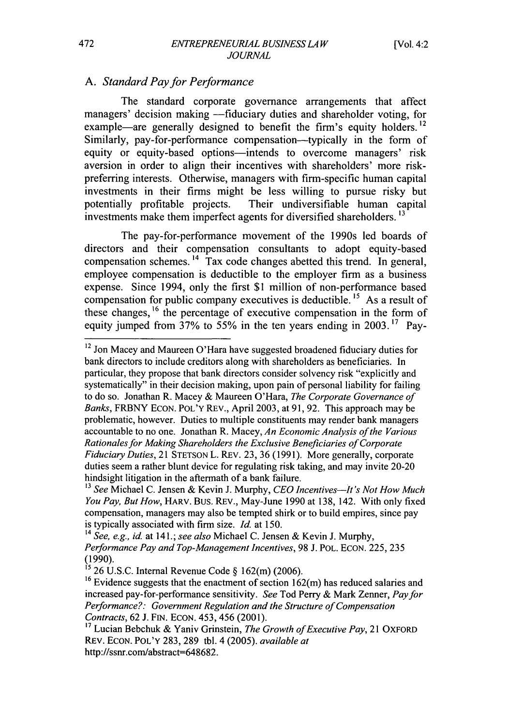## *A. Standard Pay for Performance*

The standard corporate governance arrangements that affect managers' decision making -fiduciary duties and shareholder voting, for example—are generally designed to benefit the firm's equity holders.<sup>12</sup> Similarly, pay-for-performance compensation—typically in the form of equity or equity-based options—intends to overcome managers' risk aversion in order to align their incentives with shareholders' more riskpreferring interests. Otherwise, managers with firm-specific human capital investments in their firms might be less willing to pursue risky but potentially profitable projects. Their undiversifiable human capital investments make them imperfect agents for diversified shareholders. **<sup>13</sup>**

The pay-for-performance movement of the 1990s led boards of directors and their compensation consultants to adopt equity-based compensation schemes. 14 Tax code changes abetted this trend. In general, employee compensation is deductible to the employer firm as a business expense. Since 1994, only the first \$1 million of non-performance based compensation for public company executives is deductible. **I5** As a result of these changes, **16** the percentage of executive compensation in the form of equity jumped from 37% to 55% in the ten years ending in 2003. **"** Pay-

<sup>12</sup> Jon Macey and Maureen O'Hara have suggested broadened fiduciary duties for bank directors to include creditors along with shareholders as beneficiaries. In particular, they propose that bank directors consider solvency risk "explicitly and systematically" in their decision making, upon pain of personal liability for failing to do so. Jonathan R. Macey & Maureen O'Hara, *The Corporate Governance of Banks,* FRBNY ECON. POL'Y REV., April 2003, at 91, 92. This approach may be problematic, however. Duties to multiple constituents may render bank managers accountable to no one. Jonathan R. Macey, *An Economic Analysis of the Various Rationales for Making Shareholders the Exclusive Beneficiaries of Corporate Fiduciary Duties,* 21 STETSON L. REV. 23, **36** (1991). More generally, corporate duties seem a rather blunt device for regulating risk taking, and may invite 20-20 hindsight litigation in the aftermath of a bank failure.

**<sup>13</sup>** *See* Michael C. Jensen & Kevin J. Murphy, *CEO Incentives-it's Not How Much You Pay, But How,* HARV. BUS. REV., May-June 1990 at 138, 142. With only fixed compensation, managers may also be tempted shirk or to build empires, since pay is typically associated with firm size. *Id.* at 150.

<sup>14</sup>*See, e.g., id.* at 141.; *see also* Michael C. Jensen & Kevin J. Murphy, *Performance Pay and Top-Management Incentives,* 98 J. POL. ECON. 225, 235 (1990).

*<sup>15</sup>* 26 U.S.C. Internal Revenue Code § 162(m) (2006).

<sup>&</sup>lt;sup>16</sup> Evidence suggests that the enactment of section 162(m) has reduced salaries and increased pay-for-performance sensitivity. *See* Tod Perry & Mark Zenner, *Pay for Performance?: Government Regulation and the Structure of Compensation Contracts,* 62 **J.** FIN. ECON. 453, 456 (2001).

**<sup>17</sup>**Lucian Bebchuk & Yaniv Grinstein, *The Growth of Executive Pay,* 21 OXFORD REV. ECON. POL'Y 283, 289 tbl. 4 (2005). *available at* http://ssnr.com/abstract=648682.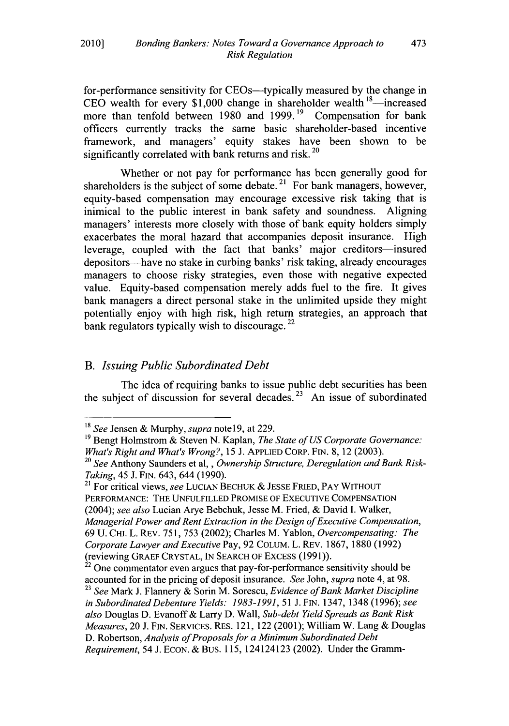for-performance sensitivity for CEOs—typically measured by the change in CEO wealth for every \$1,000 change in shareholder wealth <sup>18</sup>—increas more than tenfold between 1980 and 1999.<sup>19</sup> Compensation for bank officers currently tracks the same basic shareholder-based incentive framework, and managers' equity stakes have been shown to be significantly correlated with bank returns and risk.<sup>20</sup>

Whether or not pay for performance has been generally good for shareholders is the subject of some debate.<sup>21</sup> For bank managers, however, equity-based compensation may encourage excessive risk taking that is inimical to the public interest in bank safety and soundness. Aligning managers' interests more closely with those of bank equity holders simply exacerbates the moral hazard that accompanies deposit insurance. High leverage, coupled with the fact that banks' major creditors-insured depositors-have no stake in curbing banks' risk taking, already encourages managers to choose risky strategies, even those with negative expected value. Equity-based compensation merely adds fuel to the fire. It gives bank managers a direct personal stake in the unlimited upside they might potentially enjoy with high risk, high return strategies, an approach that bank regulators typically wish to discourage.  $^{22}$ 

# *B. Issuing Public Subordinated Debt*

The idea of requiring banks to issue public debt securities has been the subject of discussion for several decades. **"** An issue of subordinated

**<sup>18</sup>***See* Jensen & Murphy, *supra* note **19,** at 229.

**<sup>&#</sup>x27;9** Bengt Holmstrom & Steven N. Kaplan, *The State of US Corporate Governance: What's Right and What's Wrong?*, 15 J. APPLIED CORP. FIN. 8, 12 (2003).<br><sup>20</sup> *See* Anthony Saunders et al,, *Ownership Structure, Deregulation and Bank Risk-*

*Taking*, 45 J. FIN. 643, 644 (1990).<br><sup>21</sup> For critical views, *see* LUCIAN BECHUK & JESSE FRIED, PAY WITHOUT

PERFORMANCE: THE UNFULFILLED PROMISE OF EXECUTIVE COMPENSATION (2004); *see also* Lucian Arye Bebchuk, Jesse M. Fried, & David I. Walker, *Managerial Power and Rent Extraction in the Design of Executive Compensation,* 69 U. CHI. L. REV. 751, 753 (2002); Charles M. Yablon, *Overcompensating: The Corporate Lawyer and Executive* Pay, 92 COLUM. L. REV. 1867, 1880 (1992) (reviewing GRAEF CRYSTAL, IN SEARCH OF EXCESS (1991)).

 $22$  One commentator even argues that pay-for-performance sensitivity should be accounted for in the pricing of deposit insurance. *See* John, *supra* note 4, at 98.

**<sup>23</sup>***See* Mark J. Flannery & Sorin M. Sorescu, *Evidence of Bank Market Discipline in Subordinated Debenture Yields: 1983-1991,* 51 J. FIN. 1347, 1348 (1996); *see also* Douglas D. Evanoff & Larry D. Wall, *Sub-debt Yield Spreads as Bank Risk Measures,* 20 J. FIN. SERVICES. RES. 121, 122 (2001); William W. Lang & Douglas D. Robertson, *Analysis of Proposals for a Minimum Subordinated Debt Requirement,* 54 J. ECON. & BuS. 115, 124124123 (2002). Under the Gramm-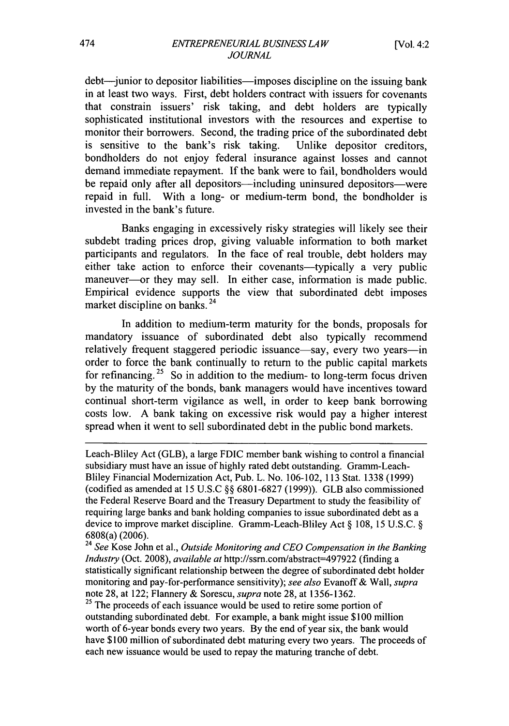debt—junior to depositor liabilities—imposes discipline on the issuing bank in at least two ways. First, debt holders contract with issuers for covenants that constrain issuers' risk taking, and debt holders are typically sophisticated institutional investors with the resources and expertise to monitor their borrowers. Second, the trading price of the subordinated debt is sensitive to the bank's risk taking. Unlike depositor creditors, bondholders do not enjoy federal insurance against losses and cannot demand immediate repayment. If the bank were to fail, bondholders would be repaid only after all depositors—including uninsured depositors—were repaid in full. With a long- or medium-term bond, the bondholder is invested in the bank's future.

Banks engaging in excessively risky strategies will likely see their subdebt trading prices drop, giving valuable information to both market participants and regulators. In the face of real trouble, debt holders may either take action to enforce their covenants—typically a very public maneuver---or they may sell. In either case, information is made public. Empirical evidence supports the view that subordinated debt imposes market discipline on banks. 24

In addition to medium-term maturity for the bonds, proposals for mandatory issuance of subordinated debt also typically recommend relatively frequent staggered periodic issuance—say, every two years—in order to force the bank continually to return to the public capital markets for refinancing.<sup>25</sup> So in addition to the medium- to long-term focus driven by the maturity of the bonds, bank managers would have incentives toward continual short-term vigilance as well, in order to keep bank borrowing costs low. A bank taking on excessive risk would pay a higher interest spread when it went to sell subordinated debt in the public bond markets.

Leach-Bliley Act (GLB), a large FDIC member bank wishing to control a financial subsidiary must have an issue of highly rated debt outstanding. Gramm-Leach-Bliley Financial Modernization Act, Pub. L. No. 106-102, 113 Stat. 1338 (1999) (codified as amended at 15 U.S.C §§ 6801-6827 (1999)). GLB also commissioned the Federal Reserve Board and the Treasury Department to study the feasibility of requiring large banks and bank holding companies to issue subordinated debt as a device to improve market discipline. Gramm-Leach-Bliley Act § 108, 15 U.S.C. § 6808(a) (2006).

<sup>24</sup>*See* Kose John et al., *Outside Monitoring and CEO Compensation in the Banking Industry* (Oct. 2008), *available at* http://ssm.com/abstract=497922 (finding a statistically significant relationship between the degree of subordinated debt holder monitoring and pay-for-performance sensitivity); *see also* Evanoff & Wall, *supra* note 28, at 122; Flannery & Sorescu, *supra* note 28, at 1356-1362.

<sup>25</sup> The proceeds of each issuance would be used to retire some portion of outstanding subordinated debt. For example, a bank might issue \$100 million worth of 6-year bonds every two years. By the end of year six, the bank would have \$100 million of subordinated debt maturing every two years. The proceeds of each new issuance would be used to repay the maturing tranche of debt.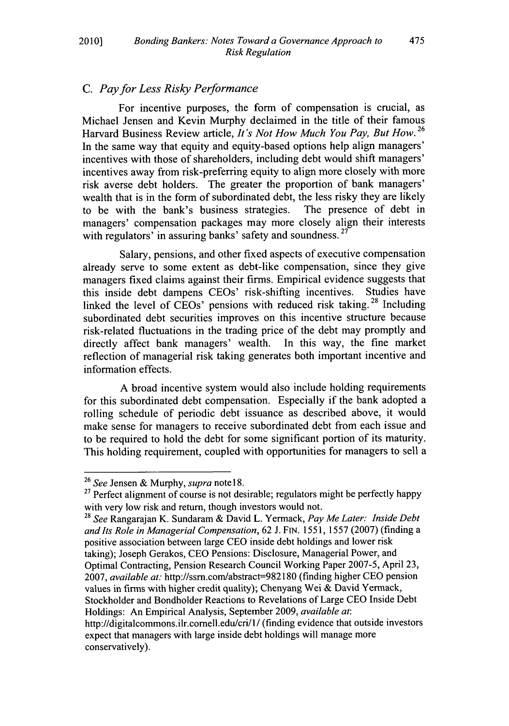### **C.** *Pay for Less Risky Performance*

For incentive purposes, the form of compensation is crucial, as Michael Jensen and Kevin Murphy declaimed in the title of their famous **<sup>26</sup>** Harvard Business Review article, *It's Not How Much You Pay, But How.* In the same way that equity and equity-based options help align managers' incentives with those of shareholders, including debt would shift managers' incentives away from risk-preferring equity to align more closely with more risk averse debt holders. The greater the proportion of bank managers' wealth that is in the form of subordinated debt, the less risky they are likely to be with the bank's business strategies. The presence of debt in to be with the bank's business strategies. managers' compensation packages may more closely align their interests with regulators' in assuring banks' safety and soundness.<sup>27</sup>

Salary, pensions, and other fixed aspects of executive compensation already serve to some extent as debt-like compensation, since they give managers fixed claims against their firms. Empirical evidence suggests that this inside debt dampens CEOs' risk-shifting incentives. Studies have linked the level of CEOs' pensions with reduced risk taking. **28** Including subordinated debt securities improves on this incentive structure because risk-related fluctuations in the trading price of the debt may promptly and directly affect bank managers' wealth. In this way, the fine market reflection of managerial risk taking generates both important incentive and information effects.

A broad incentive system would also include holding requirements for this subordinated debt compensation. Especially if the bank adopted a rolling schedule of periodic debt issuance as described above, it would make sense for managers to receive subordinated debt from each issue and to be required to hold the debt for some significant portion of its maturity. This holding requirement, coupled with opportunities for managers to sell a

**<sup>28</sup>***See* Rangarajan K. Sundaram & David L. Yermack, *Pay Me Later: Inside Debt andIts Role in Managerial Compensation,* 62 J. FIN. 1551, 1557 (2007) (finding a positive association between large CEO inside debt holdings and lower risk taking); Joseph Gerakos, CEO Pensions: Disclosure, Managerial Power, and Optimal Contracting, Pension Research Council Working Paper 2007-5, April 23, 2007, *available at: http://ssrn.com/abstract=982180 (finding higher CEO pension* values in firms with higher credit quality); Chenyang Wei & David Yermack, Stockholder and Bondholder Reactions to Revelations of Large CEO Inside Debt Holdings: An Empirical Analysis, September 2009, *available at:* http://digitalcommons.ilr.comell.edu/cri/l/ (finding evidence that outside investors expect that managers with large inside debt holdings will manage more conservatively).

<sup>26</sup>*See* Jensen & Murphy, *supra* note **18.**

 $27$  Perfect alignment of course is not desirable; regulators might be perfectly happy with very low risk and return, though investors would not.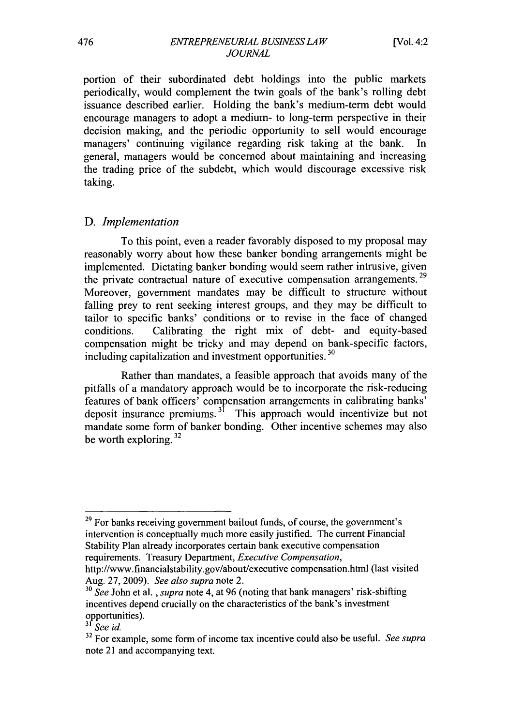portion of their subordinated debt holdings into the public markets periodically, would complement the twin goals of the bank's rolling debt issuance described earlier. Holding the bank's medium-term debt would encourage managers to adopt a medium- to long-term perspective in their decision making, and the periodic opportunity to sell would encourage managers' continuing vigilance regarding risk taking at the bank. In general, managers would be concerned about maintaining and increasing the trading price of the subdebt, which would discourage excessive risk taking.

#### *D. Implementation*

To this point, even a reader favorably disposed to my proposal may reasonably worry about how these banker bonding arrangements might be implemented. Dictating banker bonding would seem rather intrusive, given the private contractual nature of executive compensation arrangements.<sup>29</sup> Moreover, government mandates may be difficult to structure without falling prey to rent seeking interest groups, and they may be difficult to tailor to specific banks' conditions or to revise in the face of changed conditions. Calibrating the right mix of debt- and equity-based compensation might be tricky and may depend on bank-specific factors, **<sup>30</sup>** including capitalization and investment opportunities.

Rather than mandates, a feasible approach that avoids many of the pitfalls of a mandatory approach would be to incorporate the risk-reducing features of bank officers' compensation arrangements in calibrating banks' deposit insurance premiums. **31** This approach would incentivize but not mandate some form of banker bonding. Other incentive schemes may also be worth exploring.  $32$ 

<sup>&</sup>lt;sup>29</sup> For banks receiving government bailout funds, of course, the government's intervention is conceptually much more easily justified. The current Financial Stability Plan already incorporates certain bank executive compensation requirements. Treasury Department, *Executive Compensation,*

http://www.financialstability.gov/about/executive compensation.html (last visited Aug. 27, 2009). *See also supra* note 2.

**<sup>30</sup>***See* John et al., *supra* note 4, at 96 (noting that bank managers' risk-shifting incentives depend crucially on the characteristics of the bank's investment opportunities).

*<sup>&</sup>quot;' See id.*

**<sup>32</sup>**For example, some form of income tax incentive could also be useful. *See supra* note 21 and accompanying text.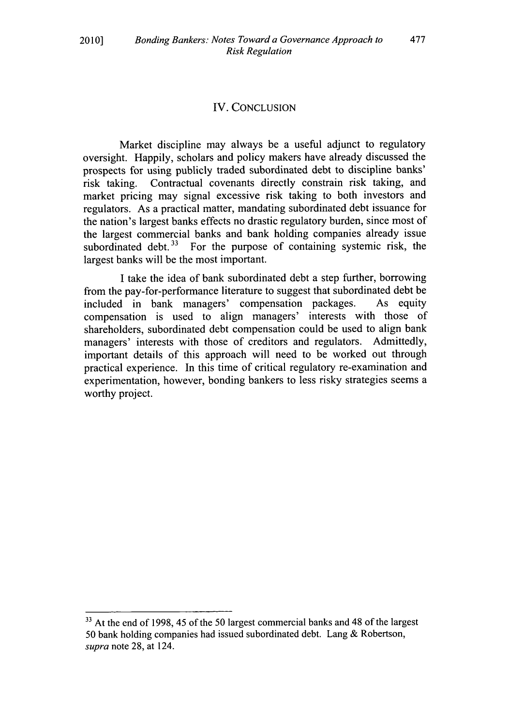#### IV. CONCLUSION

Market discipline may always be a useful adjunct to regulatory oversight. Happily, scholars and policy makers have already discussed the prospects for using publicly traded subordinated debt to discipline banks' risk taking. Contractual covenants directly constrain risk taking, and market pricing may signal excessive risk taking to both investors and regulators. As a practical matter, mandating subordinated debt issuance for the nation's largest banks effects no drastic regulatory burden, since most of the largest commercial banks and bank holding companies already issue subordinated debt.<sup>33</sup> For the purpose of containing systemic risk, the largest banks will be the most important.

I take the idea of bank subordinated debt a step further, borrowing from the pay-for-performance literature to suggest that subordinated debt be included in bank managers' compensation packages. As equity included in bank managers' compensation packages. compensation is used to align managers' interests with those of shareholders, subordinated debt compensation could be used to align bank managers' interests with those of creditors and regulators. Admittedly, important details of this approach will need to be worked out through practical experience. In this time of critical regulatory re-examination and experimentation, however, bonding bankers to less risky strategies seems a worthy project.

**<sup>33</sup>**At the end of 1998, 45 of the 50 largest commercial banks and 48 of the largest 50 bank holding companies had issued subordinated debt. Lang & Robertson, *supra* note 28, at 124.